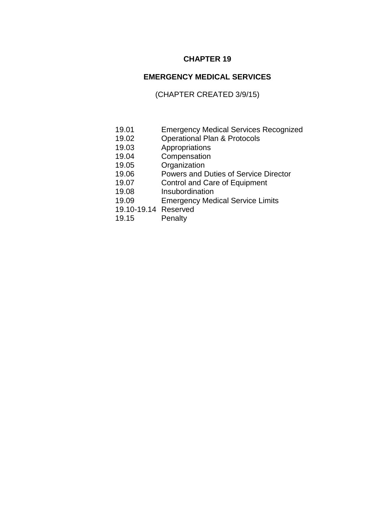# **CHAPTER 19**

# **EMERGENCY MEDICAL SERVICES**

# (CHAPTER CREATED 3/9/15)

- 19.01 Emergency Medical Services Recognized
- 19.02 Operational Plan & Protocols
- 19.03 Appropriations
- 19.04 Compensation
- 19.05 Organization
- 19.06 Powers and Duties of Service Director
- 19.07 Control and Care of Equipment
- 19.08 Insubordination
- 19.09 Emergency Medical Service Limits
- 19.10-19.14 Reserved
- 19.15 Penalty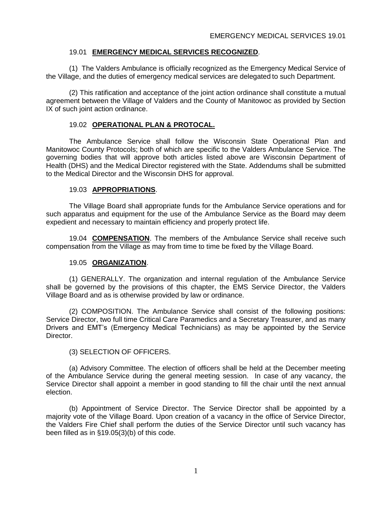# 19.01 **EMERGENCY MEDICAL SERVICES RECOGNIZED**.

(1) The Valders Ambulance is officially recognized as the Emergency Medical Service of the Village, and the duties of emergency medical services are delegated to such Department.

(2) This ratification and acceptance of the joint action ordinance shall constitute a mutual agreement between the Village of Valders and the County of Manitowoc as provided by Section IX of such joint action ordinance.

## 19.02 **OPERATIONAL PLAN & PROTOCAL.**

The Ambulance Service shall follow the Wisconsin State Operational Plan and Manitowoc County Protocols; both of which are specific to the Valders Ambulance Service. The governing bodies that will approve both articles listed above are Wisconsin Department of Health (DHS) and the Medical Director registered with the State. Addendums shall be submitted to the Medical Director and the Wisconsin DHS for approval.

#### 19.03 **APPROPRIATIONS**.

The Village Board shall appropriate funds for the Ambulance Service operations and for such apparatus and equipment for the use of the Ambulance Service as the Board may deem expedient and necessary to maintain efficiency and properly protect life.

19.04 **COMPENSATION**. The members of the Ambulance Service shall receive such compensation from the Village as may from time to time be fixed by the Village Board.

#### 19.05 **ORGANIZATION**.

(1) GENERALLY. The organization and internal regulation of the Ambulance Service shall be governed by the provisions of this chapter, the EMS Service Director, the Valders Village Board and as is otherwise provided by law or ordinance.

(2) COMPOSITION. The Ambulance Service shall consist of the following positions: Service Director, two full time Critical Care Paramedics and a Secretary Treasurer, and as many Drivers and EMT's (Emergency Medical Technicians) as may be appointed by the Service Director.

#### (3) SELECTION OF OFFICERS.

(a) Advisory Committee. The election of officers shall be held at the December meeting of the Ambulance Service during the general meeting session. In case of any vacancy, the Service Director shall appoint a member in good standing to fill the chair until the next annual election.

(b) Appointment of Service Director. The Service Director shall be appointed by a majority vote of the Village Board. Upon creation of a vacancy in the office of Service Director, the Valders Fire Chief shall perform the duties of the Service Director until such vacancy has been filled as in §19.05(3)(b) of this code.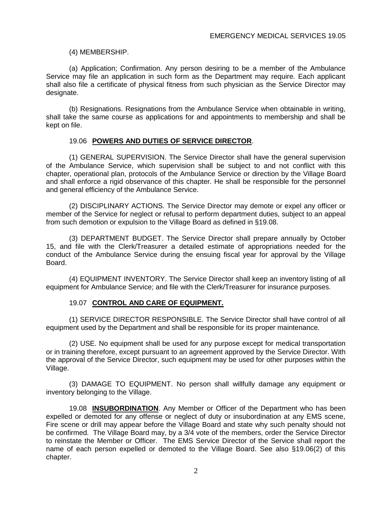### (4) MEMBERSHIP.

(a) Application; Confirmation. Any person desiring to be a member of the Ambulance Service may file an application in such form as the Department may require. Each applicant shall also file a certificate of physical fitness from such physician as the Service Director may designate.

(b) Resignations. Resignations from the Ambulance Service when obtainable in writing, shall take the same course as applications for and appointments to membership and shall be kept on file.

## 19.06 **POWERS AND DUTIES OF SERVICE DIRECTOR**.

(1) GENERAL SUPERVISION. The Service Director shall have the general supervision of the Ambulance Service, which supervision shall be subject to and not conflict with this chapter, operational plan, protocols of the Ambulance Service or direction by the Village Board and shall enforce a rigid observance of this chapter. He shall be responsible for the personnel and general efficiency of the Ambulance Service.

(2) DISCIPLINARY ACTIONS. The Service Director may demote or expel any officer or member of the Service for neglect or refusal to perform department duties, subject to an appeal from such demotion or expulsion to the Village Board as defined in §19.08.

(3) DEPARTMENT BUDGET. The Service Director shall prepare annually by October 15, and file with the Clerk/Treasurer a detailed estimate of appropriations needed for the conduct of the Ambulance Service during the ensuing fiscal year for approval by the Village Board.

(4) EQUIPMENT INVENTORY. The Service Director shall keep an inventory listing of all equipment for Ambulance Service; and file with the Clerk/Treasurer for insurance purposes.

# 19.07 **CONTROL AND CARE OF EQUIPMENT.**

(1) SERVICE DIRECTOR RESPONSIBLE. The Service Director shall have control of all equipment used by the Department and shall be responsible for its proper maintenance.

(2) USE. No equipment shall be used for any purpose except for medical transportation or in training therefore, except pursuant to an agreement approved by the Service Director. With the approval of the Service Director, such equipment may be used for other purposes within the Village.

(3) DAMAGE TO EQUIPMENT. No person shall willfully damage any equipment or inventory belonging to the Village.

19.08 **INSUBORDINATION**. Any Member or Officer of the Department who has been expelled or demoted for any offense or neglect of duty or insubordination at any EMS scene, Fire scene or drill may appear before the Village Board and state why such penalty should not be confirmed. The Village Board may, by a 3/4 vote of the members, order the Service Director to reinstate the Member or Officer. The EMS Service Director of the Service shall report the name of each person expelled or demoted to the Village Board. See also §19.06(2) of this chapter.